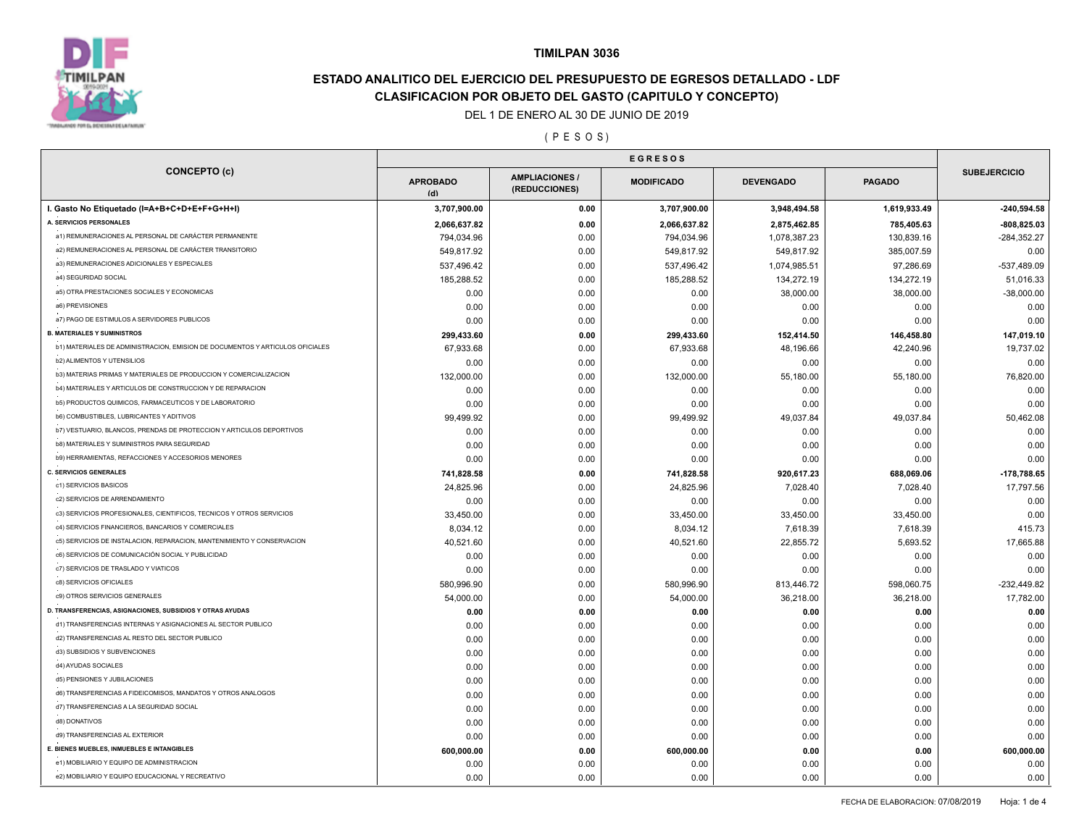

# **ESTADO ANALITICO DEL EJERCICIO DEL PRESUPUESTO DE EGRESOS DETALLADO - LDF CLASIFICACION POR OBJETO DEL GASTO (CAPITULO Y CONCEPTO)**

### DEL 1 DE ENERO AL 30 DE JUNIO DE 2019

( P E S O S )

| <b>CONCEPTO (c)</b>                                                           | <b>APROBADO</b><br>(d) | <b>AMPLIACIONES</b><br>(REDUCCIONES) |              | <b>DEVENGADO</b> | <b>PAGADO</b> | <b>SUBEJERCICIO</b> |
|-------------------------------------------------------------------------------|------------------------|--------------------------------------|--------------|------------------|---------------|---------------------|
| I. Gasto No Etiquetado (I=A+B+C+D+E+F+G+H+I)                                  | 3,707,900.00           | 0.00                                 | 3,707,900.00 | 3,948,494.58     | 1,619,933.49  | $-240,594.58$       |
| A. SERVICIOS PERSONALES                                                       | 2,066,637.82           | 0.00                                 | 2,066,637.82 | 2,875,462.85     | 785,405.63    | $-808,825.03$       |
| a1) REMUNERACIONES AL PERSONAL DE CARÁCTER PERMANENTE                         | 794,034.96             | 0.00                                 | 794,034.96   | 1,078,387.23     | 130,839.16    | $-284,352.27$       |
| a2) REMUNERACIONES AL PERSONAL DE CARÁCTER TRANSITORIO                        | 549,817.92             | 0.00                                 | 549,817.92   | 549,817.92       | 385,007.59    | 0.00                |
| a3) REMUNERACIONES ADICIONALES Y ESPECIALES                                   | 537,496.42             | 0.00                                 | 537,496.42   | 1,074,985.51     | 97,286.69     | -537,489.09         |
| a4) SEGURIDAD SOCIAL                                                          | 185,288.52             | 0.00                                 | 185,288.52   | 134,272.19       | 134,272.19    | 51,016.33           |
| a5) OTRA PRESTACIONES SOCIALES Y ECONOMICAS                                   | 0.00                   | 0.00                                 | 0.00         | 38,000.00        | 38,000.00     | $-38,000.00$        |
| a6) PREVISIONES                                                               | 0.00                   | 0.00                                 | 0.00         | 0.00             | 0.00          | 0.00                |
| a7) PAGO DE ESTIMULOS A SERVIDORES PUBLICOS                                   | 0.00                   | 0.00                                 | 0.00         | 0.00             | 0.00          | 0.00                |
| <b>B. MATERIALES Y SUMINISTROS</b>                                            | 299,433.60             | 0.00                                 | 299,433.60   | 152,414.50       | 146,458.80    | 147,019.10          |
| b1) MATERIALES DE ADMINISTRACION, EMISION DE DOCUMENTOS Y ARTICULOS OFICIALES | 67,933.68              | 0.00                                 | 67,933.68    | 48,196.66        | 42,240.96     | 19,737.02           |
| b2) ALIMENTOS Y UTENSILIOS                                                    | 0.00                   | 0.00                                 | 0.00         | 0.00             | 0.00          | 0.00                |
| b3) MATERIAS PRIMAS Y MATERIALES DE PRODUCCION Y COMERCIALIZACION             | 132,000.00             | 0.00                                 | 132,000.00   | 55,180.00        | 55,180.00     | 76,820.00           |
| b4) MATERIALES Y ARTICULOS DE CONSTRUCCION Y DE REPARACION                    | 0.00                   | 0.00                                 | 0.00         | 0.00             | 0.00          | 0.00                |
| b5) PRODUCTOS QUIMICOS, FARMACEUTICOS Y DE LABORATORIO                        | 0.00                   | 0.00                                 | 0.00         | 0.00             | 0.00          | 0.00                |
| <b>b6) COMBUSTIBLES, LUBRICANTES Y ADITIVOS</b>                               | 99,499.92              | 0.00                                 | 99,499.92    | 49,037.84        | 49,037.84     | 50,462.08           |
| b7) VESTUARIO, BLANCOS, PRENDAS DE PROTECCION Y ARTICULOS DEPORTIVOS          | 0.00                   | 0.00                                 | 0.00         | 0.00             | 0.00          | 0.00                |
| b8) MATERIALES Y SUMINISTROS PARA SEGURIDAD                                   | 0.00                   | 0.00                                 | 0.00         | 0.00             | 0.00          | 0.00                |
| b9) HERRAMIENTAS, REFACCIONES Y ACCESORIOS MENORES                            | 0.00                   | 0.00                                 | 0.00         | 0.00             | 0.00          | 0.00                |
| <b>C. SERVICIOS GENERALES</b>                                                 | 741,828.58             | 0.00                                 | 741,828.58   | 920,617.23       | 688,069.06    | -178,788.65         |
| c1) SERVICIOS BASICOS                                                         | 24,825.96              | 0.00                                 | 24,825.96    | 7,028.40         | 7,028.40      | 17,797.56           |
| c2) SERVICIOS DE ARRENDAMIENTO                                                | 0.00                   | 0.00                                 | 0.00         | 0.00             | 0.00          | 0.00                |
| c3) SERVICIOS PROFESIONALES, CIENTIFICOS, TECNICOS Y OTROS SERVICIOS          | 33,450.00              | 0.00                                 | 33,450.00    | 33,450.00        | 33,450.00     | 0.00                |
| c4) SERVICIOS FINANCIEROS, BANCARIOS Y COMERCIALES                            | 8,034.12               | 0.00                                 | 8,034.12     | 7,618.39         | 7,618.39      | 415.73              |
| c5) SERVICIOS DE INSTALACION, REPARACION, MANTENIMIENTO Y CONSERVACION        | 40,521.60              | 0.00                                 | 40,521.60    | 22,855.72        | 5,693.52      | 17,665.88           |
| c6) SERVICIOS DE COMUNICACIÓN SOCIAL Y PUBLICIDAD                             | 0.00                   | 0.00                                 | 0.00         | 0.00             | 0.00          | 0.00                |
| c7) SERVICIOS DE TRASLADO Y VIATICOS                                          | 0.00                   | 0.00                                 | 0.00         | 0.00             | 0.00          | 0.00                |
| c8) SERVICIOS OFICIALES                                                       | 580,996.90             | 0.00                                 | 580,996.90   | 813,446.72       | 598,060.75    | $-232,449.82$       |
| c9) OTROS SERVICIOS GENERALES                                                 | 54,000.00              | 0.00                                 | 54,000.00    | 36,218.00        | 36,218.00     | 17,782.00           |
| D. TRANSFERENCIAS, ASIGNACIONES, SUBSIDIOS Y OTRAS AYUDAS                     | 0.00                   | 0.00                                 | 0.00         | 0.00             | 0.00          | 0.00                |
| d1) TRANSFERENCIAS INTERNAS Y ASIGNACIONES AL SECTOR PUBLICO                  | 0.00                   | 0.00                                 | 0.00         | 0.00             | 0.00          | 0.00                |
| d2) TRANSFERENCIAS AL RESTO DEL SECTOR PUBLICO                                | 0.00                   | 0.00                                 | 0.00         | 0.00             | 0.00          | 0.00                |
| d3) SUBSIDIOS Y SUBVENCIONES                                                  | 0.00                   | 0.00                                 | 0.00         | 0.00             | 0.00          | 0.00                |
| d4) AYUDAS SOCIALES                                                           |                        |                                      |              |                  |               |                     |
| d5) PENSIONES Y JUBILACIONES                                                  | 0.00                   | 0.00                                 | 0.00         | 0.00             | 0.00          | 0.00                |
| d6) TRANSFERENCIAS A FIDEICOMISOS, MANDATOS Y OTROS ANALOGOS                  | 0.00                   | 0.00                                 | 0.00<br>0.00 | 0.00             | 0.00<br>0.00  | 0.00                |
| d7) TRANSFERENCIAS A LA SEGURIDAD SOCIAL                                      | 0.00                   | 0.00                                 |              | 0.00             |               | 0.00                |
| d8) DONATIVOS                                                                 | 0.00                   | 0.00                                 | 0.00         | 0.00             | 0.00          | 0.00                |
| d9) TRANSFERENCIAS AL EXTERIOR                                                | 0.00                   | 0.00                                 | 0.00         | 0.00             | 0.00          | 0.00                |
| E. BIENES MUEBLES, INMUEBLES E INTANGIBLES                                    | 0.00                   | 0.00                                 | 0.00         | 0.00             | 0.00          | 0.00                |
| e1) MOBILIARIO Y EQUIPO DE ADMINISTRACION                                     | 600,000.00             | 0.00                                 | 600,000.00   | 0.00             | 0.00          | 600,000.00          |
| e2) MOBILIARIO Y EQUIPO EDUCACIONAL Y RECREATIVO                              | 0.00                   | 0.00                                 | 0.00         | 0.00             | 0.00          | 0.00                |
|                                                                               | 0.00                   | 0.00                                 | 0.00         | 0.00             | 0.00          | 0.00                |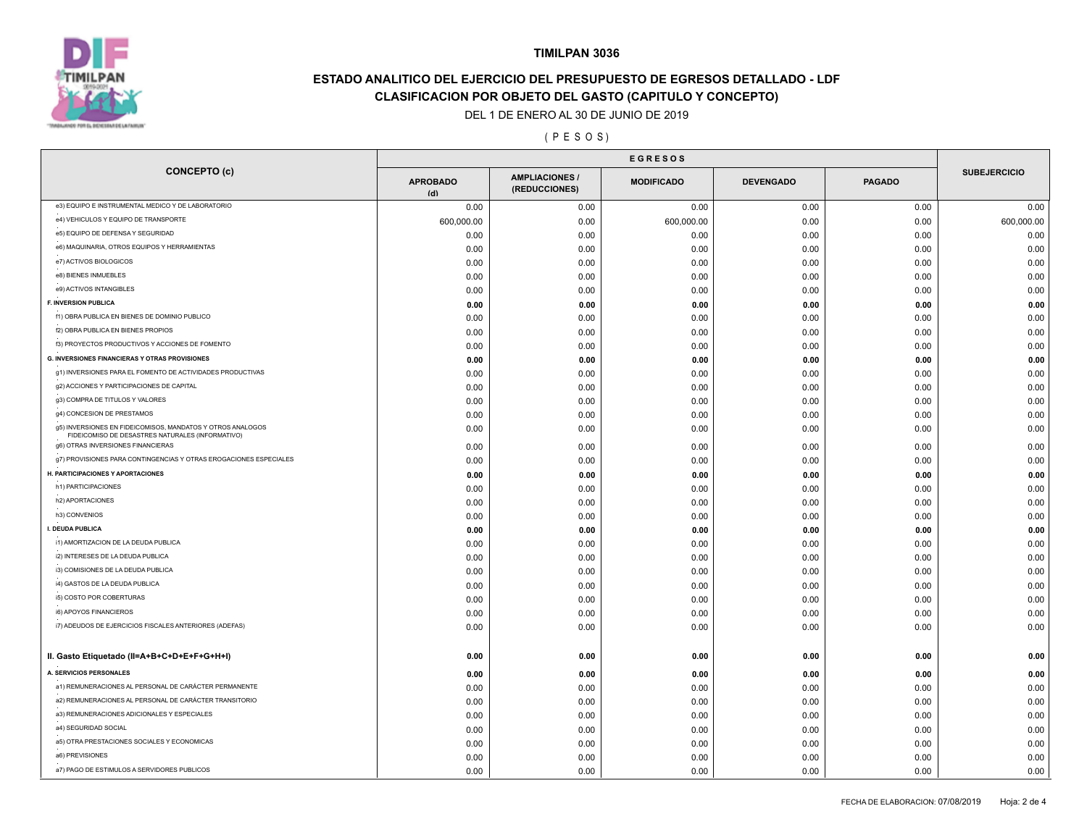

# **ESTADO ANALITICO DEL EJERCICIO DEL PRESUPUESTO DE EGRESOS DETALLADO - LDF CLASIFICACION POR OBJETO DEL GASTO (CAPITULO Y CONCEPTO)**

### DEL 1 DE ENERO AL 30 DE JUNIO DE 2019

### ( P E S O S )

| <b>CONCEPTO (c)</b>                                                                                            | <b>APROBADO</b><br>(d) | <b>AMPLIACIONES</b><br>(REDUCCIONES) | <b>MODIFICADO</b> | <b>DEVENGADO</b> | <b>PAGADO</b> | <b>SUBEJERCICIO</b> |
|----------------------------------------------------------------------------------------------------------------|------------------------|--------------------------------------|-------------------|------------------|---------------|---------------------|
| e3) EQUIPO E INSTRUMENTAL MEDICO Y DE LABORATORIO                                                              | 0.00                   | 0.00                                 | 0.00              | 0.00             | 0.00          | 0.00                |
| e4) VEHICULOS Y EQUIPO DE TRANSPORTE                                                                           | 600,000.00             | 0.00                                 | 600,000.00        | 0.00             | 0.00          | 600,000.00          |
| e5) EQUIPO DE DEFENSA Y SEGURIDAD                                                                              | 0.00                   | 0.00                                 | 0.00              | 0.00             | 0.00          | 0.00                |
| e6) MAQUINARIA, OTROS EQUIPOS Y HERRAMIENTAS                                                                   | 0.00                   | 0.00                                 | 0.00              | 0.00             | 0.00          | 0.00                |
| e7) ACTIVOS BIOLOGICOS                                                                                         | 0.00                   | 0.00                                 | 0.00              | 0.00             | 0.00          | 0.00                |
| e8) BIENES INMUEBLES                                                                                           | 0.00                   | 0.00                                 | 0.00              | 0.00             | 0.00          | 0.00                |
| e9) ACTIVOS INTANGIBLES                                                                                        | 0.00                   | 0.00                                 | 0.00              | 0.00             | 0.00          | 0.00                |
| F. INVERSION PUBLICA                                                                                           | 0.00                   | 0.00                                 | 0.00              | 0.00             | 0.00          | 0.00                |
| f1) OBRA PUBLICA EN BIENES DE DOMINIO PUBLICO                                                                  | 0.00                   | 0.00                                 | 0.00              | 0.00             | 0.00          | 0.00                |
| f2) OBRA PUBLICA EN BIENES PROPIOS                                                                             | 0.00                   | 0.00                                 | 0.00              | 0.00             | 0.00          | 0.00                |
| f3) PROYECTOS PRODUCTIVOS Y ACCIONES DE FOMENTO                                                                | 0.00                   | 0.00                                 | 0.00              | 0.00             | 0.00          | 0.00                |
| <b>G. INVERSIONES FINANCIERAS Y OTRAS PROVISIONES</b>                                                          | 0.00                   | 0.00                                 | 0.00              | 0.00             | 0.00          | 0.00                |
| g1) INVERSIONES PARA EL FOMENTO DE ACTIVIDADES PRODUCTIVAS                                                     | 0.00                   | 0.00                                 | 0.00              | 0.00             | 0.00          | 0.00                |
| g2) ACCIONES Y PARTICIPACIONES DE CAPITAL                                                                      | 0.00                   | 0.00                                 | 0.00              | 0.00             | 0.00          | 0.00                |
| g3) COMPRA DE TITULOS Y VALORES                                                                                | 0.00                   | 0.00                                 | 0.00              | 0.00             | 0.00          | 0.00                |
| g4) CONCESION DE PRESTAMOS                                                                                     | 0.00                   | 0.00                                 | 0.00              | 0.00             | 0.00          | 0.00                |
| g5) INVERSIONES EN FIDEICOMISOS, MANDATOS Y OTROS ANALOGOS<br>FIDEICOMISO DE DESASTRES NATURALES (INFORMATIVO) | 0.00                   | 0.00                                 | 0.00              | 0.00             | 0.00          | 0.00                |
| g6) OTRAS INVERSIONES FINANCIERAS                                                                              | 0.00                   | 0.00                                 | 0.00              | 0.00             | 0.00          | 0.00                |
| g7) PROVISIONES PARA CONTINGENCIAS Y OTRAS EROGACIONES ESPECIALES                                              | 0.00                   | 0.00                                 | 0.00              | 0.00             | 0.00          | 0.00                |
| H. PARTICIPACIONES Y APORTACIONES                                                                              | 0.00                   | 0.00                                 | 0.00              | 0.00             | 0.00          | 0.00                |
| h1) PARTICIPACIONES                                                                                            | 0.00                   | 0.00                                 | 0.00              | 0.00             | 0.00          | 0.00                |
| h2) APORTACIONES                                                                                               | 0.00                   | 0.00                                 | 0.00              | 0.00             | 0.00          | 0.00                |
| h3) CONVENIOS                                                                                                  | 0.00                   | 0.00                                 | 0.00              | 0.00             | 0.00          | 0.00                |
| I. DEUDA PUBLICA                                                                                               | 0.00                   | 0.00                                 | 0.00              | 0.00             | 0.00          | 0.00                |
| i1) AMORTIZACION DE LA DEUDA PUBLICA                                                                           | 0.00                   | 0.00                                 | 0.00              | 0.00             | 0.00          | 0.00                |
| i2) INTERESES DE LA DEUDA PUBLICA                                                                              | 0.00                   | 0.00                                 | 0.00              | 0.00             | 0.00          | 0.00                |
| i3) COMISIONES DE LA DEUDA PUBLICA                                                                             | 0.00                   | 0.00                                 | 0.00              | 0.00             | 0.00          | 0.00                |
| i4) GASTOS DE LA DEUDA PUBLICA                                                                                 | 0.00                   | 0.00                                 | 0.00              | 0.00             | 0.00          | 0.00                |
| i5) COSTO POR COBERTURAS                                                                                       | 0.00                   | 0.00                                 | 0.00              | 0.00             | 0.00          | 0.00                |
| i6) APOYOS FINANCIEROS                                                                                         | 0.00                   | 0.00                                 | 0.00              | 0.00             | 0.00          | 0.00                |
| i7) ADEUDOS DE EJERCICIOS FISCALES ANTERIORES (ADEFAS)                                                         | 0.00                   | 0.00                                 | 0.00              | 0.00             | 0.00          | 0.00                |
| II. Gasto Etiquetado (II=A+B+C+D+E+F+G+H+I)                                                                    | 0.00                   | 0.00                                 | 0.00              | 0.00             | 0.00          | 0.00                |
| A. SERVICIOS PERSONALES                                                                                        | 0.00                   | 0.00                                 | 0.00              | 0.00             | 0.00          | 0.00                |
| a1) REMUNERACIONES AL PERSONAL DE CARÁCTER PERMANENTE                                                          | 0.00                   | 0.00                                 | 0.00              | 0.00             | 0.00          | 0.00                |
| a2) REMUNERACIONES AL PERSONAL DE CARÁCTER TRANSITORIO                                                         | 0.00                   | 0.00                                 | 0.00              | 0.00             | 0.00          | 0.00                |
| a3) REMUNERACIONES ADICIONALES Y ESPECIALES                                                                    | 0.00                   | 0.00                                 | 0.00              | 0.00             | 0.00          | 0.00                |
| a4) SEGURIDAD SOCIAL                                                                                           | 0.00                   | 0.00                                 | 0.00              | 0.00             | 0.00          | 0.00                |
| a5) OTRA PRESTACIONES SOCIALES Y ECONOMICAS                                                                    | 0.00                   | 0.00                                 | 0.00              | 0.00             | 0.00          | 0.00                |
| a6) PREVISIONES                                                                                                | 0.00                   | 0.00                                 | 0.00              | 0.00             | 0.00          | 0.00                |
| a7) PAGO DE ESTIMULOS A SERVIDORES PUBLICOS                                                                    | 0.00                   | 0.00                                 | 0.00              | 0.00             | 0.00          | 0.00                |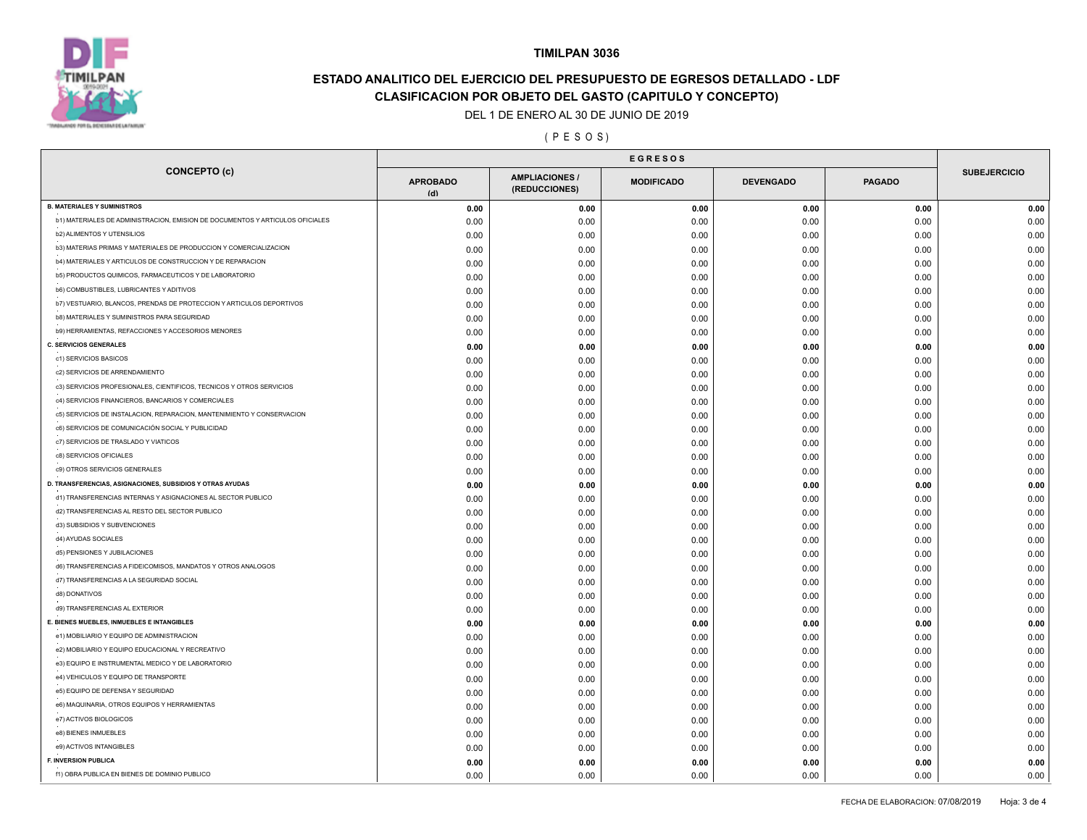

# **ESTADO ANALITICO DEL EJERCICIO DEL PRESUPUESTO DE EGRESOS DETALLADO - LDF CLASIFICACION POR OBJETO DEL GASTO (CAPITULO Y CONCEPTO)**

### DEL 1 DE ENERO AL 30 DE JUNIO DE 2019

### ( P E S O S )

| <b>CONCEPTO (c)</b>                                                           | <b>APROBADO</b><br>(d) | <b>AMPLIACIONES /</b><br>(REDUCCIONES) | <b>MODIFICADO</b> | <b>DEVENGADO</b> | <b>PAGADO</b> | <b>SUBEJERCICIO</b> |
|-------------------------------------------------------------------------------|------------------------|----------------------------------------|-------------------|------------------|---------------|---------------------|
| <b>B. MATERIALES Y SUMINISTROS</b>                                            | 0.00                   | 0.00                                   | 0.00              | 0.00             | 0.00          | 0.00                |
| b1) MATERIALES DE ADMINISTRACION, EMISION DE DOCUMENTOS Y ARTICULOS OFICIALES | 0.00                   | 0.00                                   | 0.00              | 0.00             | 0.00          | 0.00                |
| <b>b2) ALIMENTOS Y UTENSILIOS</b>                                             | 0.00                   | 0.00                                   | 0.00              | 0.00             | 0.00          | 0.00                |
| b3) MATERIAS PRIMAS Y MATERIALES DE PRODUCCION Y COMERCIALIZACION             | 0.00                   | 0.00                                   | 0.00              | 0.00             | 0.00          | 0.00                |
| b4) MATERIALES Y ARTICULOS DE CONSTRUCCION Y DE REPARACION                    | 0.00                   | 0.00                                   | 0.00              | 0.00             | 0.00          | 0.00                |
| b5) PRODUCTOS QUIMICOS, FARMACEUTICOS Y DE LABORATORIO                        | 0.00                   | 0.00                                   | 0.00              | 0.00             | 0.00          | 0.00                |
| <b>b6) COMBUSTIBLES, LUBRICANTES Y ADITIVOS</b>                               | 0.00                   | 0.00                                   | 0.00              | 0.00             | 0.00          | 0.00                |
| b7) VESTUARIO, BLANCOS, PRENDAS DE PROTECCION Y ARTICULOS DEPORTIVOS          | 0.00                   | 0.00                                   | 0.00              | 0.00             | 0.00          | 0.00                |
| <b>b8) MATERIALES Y SUMINISTROS PARA SEGURIDAD</b>                            | 0.00                   | 0.00                                   | 0.00              | 0.00             | 0.00          | 0.00                |
| b9) HERRAMIENTAS, REFACCIONES Y ACCESORIOS MENORES                            | 0.00                   | 0.00                                   | 0.00              | 0.00             | 0.00          | 0.00                |
| <b>C. SERVICIOS GENERALES</b>                                                 | 0.00                   | 0.00                                   | 0.00              | 0.00             | 0.00          | 0.00                |
| c1) SERVICIOS BASICOS                                                         | 0.00                   | 0.00                                   | 0.00              | 0.00             | 0.00          | 0.00                |
| c2) SERVICIOS DE ARRENDAMIENTO                                                | 0.00                   | 0.00                                   | 0.00              | 0.00             | 0.00          | 0.00                |
| c3) SERVICIOS PROFESIONALES, CIENTIFICOS, TECNICOS Y OTROS SERVICIOS          | 0.00                   | 0.00                                   | 0.00              | 0.00             | 0.00          | 0.00                |
| c4) SERVICIOS FINANCIEROS, BANCARIOS Y COMERCIALES                            | 0.00                   | 0.00                                   | 0.00              | 0.00             | 0.00          | 0.00                |
| c5) SERVICIOS DE INSTALACION, REPARACION, MANTENIMIENTO Y CONSERVACION        | 0.00                   | 0.00                                   | 0.00              | 0.00             | 0.00          | 0.00                |
| c6) SERVICIOS DE COMUNICACIÓN SOCIAL Y PUBLICIDAD                             | 0.00                   | 0.00                                   | 0.00              | 0.00             | 0.00          | 0.00                |
| c7) SERVICIOS DE TRASLADO Y VIATICOS                                          | 0.00                   | 0.00                                   | 0.00              | 0.00             | 0.00          | 0.00                |
| c8) SERVICIOS OFICIALES                                                       | 0.00                   | 0.00                                   | 0.00              | 0.00             | 0.00          | 0.00                |
| c9) OTROS SERVICIOS GENERALES                                                 | 0.00                   | 0.00                                   | 0.00              | 0.00             | 0.00          | 0.00                |
| D. TRANSFERENCIAS, ASIGNACIONES, SUBSIDIOS Y OTRAS AYUDAS                     | 0.00                   | 0.00                                   | 0.00              | 0.00             | 0.00          | 0.00                |
| d1) TRANSFERENCIAS INTERNAS Y ASIGNACIONES AL SECTOR PUBLICO                  | 0.00                   | 0.00                                   | 0.00              | 0.00             | 0.00          | 0.00                |
| d2) TRANSFERENCIAS AL RESTO DEL SECTOR PUBLICO                                | 0.00                   | 0.00                                   | 0.00              | 0.00             | 0.00          | 0.00                |
| d3) SUBSIDIOS Y SUBVENCIONES                                                  | 0.00                   | 0.00                                   | 0.00              | 0.00             | 0.00          | 0.00                |
| d4) AYUDAS SOCIALES                                                           | 0.00                   | 0.00                                   | 0.00              | 0.00             | 0.00          | 0.00                |
| d5) PENSIONES Y JUBILACIONES                                                  | 0.00                   | 0.00                                   | 0.00              | 0.00             | 0.00          | 0.00                |
| d6) TRANSFERENCIAS A FIDEICOMISOS, MANDATOS Y OTROS ANALOGOS                  | 0.00                   | 0.00                                   | 0.00              | 0.00             | 0.00          | 0.00                |
| d7) TRANSFERENCIAS A LA SEGURIDAD SOCIAL                                      | 0.00                   | 0.00                                   | 0.00              | 0.00             | 0.00          | 0.00                |
| d8) DONATIVOS                                                                 | 0.00                   | 0.00                                   | 0.00              | 0.00             | 0.00          | 0.00                |
| d9) TRANSFERENCIAS AL EXTERIOR                                                | 0.00                   | 0.00                                   | 0.00              | 0.00             | 0.00          | 0.00                |
| E. BIENES MUEBLES, INMUEBLES E INTANGIBLES                                    | 0.00                   | 0.00                                   | 0.00              | 0.00             | 0.00          | 0.00                |
| e1) MOBILIARIO Y EQUIPO DE ADMINISTRACION                                     | 0.00                   | 0.00                                   | 0.00              | 0.00             | 0.00          | 0.00                |
| e2) MOBILIARIO Y EQUIPO EDUCACIONAL Y RECREATIVO                              | 0.00                   | 0.00                                   | 0.00              | 0.00             | 0.00          | 0.00                |
| e3) EQUIPO E INSTRUMENTAL MEDICO Y DE LABORATORIO                             | 0.00                   | 0.00                                   | 0.00              | 0.00             | 0.00          | 0.00                |
| e4) VEHICULOS Y EQUIPO DE TRANSPORTE                                          | 0.00                   | 0.00                                   | 0.00              | 0.00             | 0.00          | 0.00                |
| e5) EQUIPO DE DEFENSA Y SEGURIDAD                                             | 0.00                   | 0.00                                   | 0.00              | 0.00             | 0.00          | 0.00                |
| e6) MAQUINARIA, OTROS EQUIPOS Y HERRAMIENTAS                                  | 0.00                   | 0.00                                   | 0.00              | 0.00             | 0.00          | 0.00                |
| e7) ACTIVOS BIOLOGICOS                                                        | 0.00                   | 0.00                                   | 0.00              | 0.00             | 0.00          | 0.00                |
| e8) BIENES INMUEBLES                                                          | 0.00                   | 0.00                                   | 0.00              | 0.00             | 0.00          | 0.00                |
| e9) ACTIVOS INTANGIBLES                                                       | 0.00                   | 0.00                                   | 0.00              | 0.00             | 0.00          | 0.00                |
| <b>F. INVERSION PUBLICA</b>                                                   | 0.00                   | 0.00                                   | 0.00              | 0.00             | 0.00          | 0.00                |
| f1) OBRA PUBLICA EN BIENES DE DOMINIO PUBLICO                                 | 0.00                   | 0.00                                   | 0.00              | 0.00             | 0.00          | 0.00                |